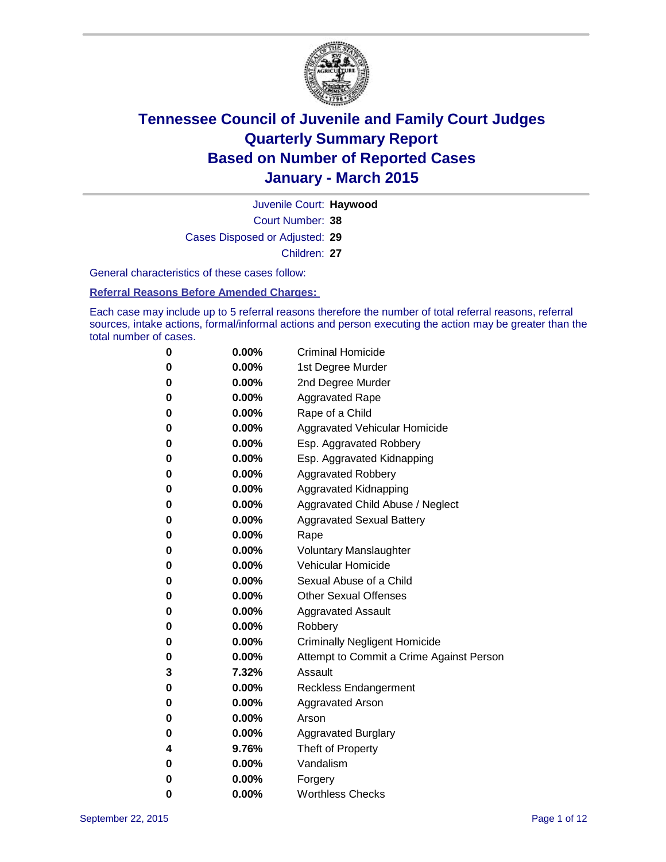

Court Number: **38** Juvenile Court: **Haywood** Cases Disposed or Adjusted: **29** Children: **27**

General characteristics of these cases follow:

**Referral Reasons Before Amended Charges:** 

Each case may include up to 5 referral reasons therefore the number of total referral reasons, referral sources, intake actions, formal/informal actions and person executing the action may be greater than the total number of cases.

| 0        | $0.00\%$ | <b>Criminal Homicide</b>                 |
|----------|----------|------------------------------------------|
| 0        | $0.00\%$ | 1st Degree Murder                        |
| $\bf{0}$ | $0.00\%$ | 2nd Degree Murder                        |
| 0        | $0.00\%$ | <b>Aggravated Rape</b>                   |
| 0        | $0.00\%$ | Rape of a Child                          |
| 0        | $0.00\%$ | Aggravated Vehicular Homicide            |
| 0        | $0.00\%$ | Esp. Aggravated Robbery                  |
| 0        | $0.00\%$ | Esp. Aggravated Kidnapping               |
| $\bf{0}$ | $0.00\%$ | <b>Aggravated Robbery</b>                |
| $\bf{0}$ | 0.00%    | <b>Aggravated Kidnapping</b>             |
| 0        | 0.00%    | Aggravated Child Abuse / Neglect         |
| 0        | 0.00%    | <b>Aggravated Sexual Battery</b>         |
| $\bf{0}$ | $0.00\%$ | Rape                                     |
| 0        | $0.00\%$ | <b>Voluntary Manslaughter</b>            |
| 0        | $0.00\%$ | <b>Vehicular Homicide</b>                |
| $\bf{0}$ | $0.00\%$ | Sexual Abuse of a Child                  |
| $\bf{0}$ | $0.00\%$ | <b>Other Sexual Offenses</b>             |
| 0        | $0.00\%$ | <b>Aggravated Assault</b>                |
| 0        | $0.00\%$ | Robbery                                  |
| $\bf{0}$ | $0.00\%$ | <b>Criminally Negligent Homicide</b>     |
| 0        | $0.00\%$ | Attempt to Commit a Crime Against Person |
| 3        | 7.32%    | Assault                                  |
| 0        | $0.00\%$ | <b>Reckless Endangerment</b>             |
| 0        | $0.00\%$ | <b>Aggravated Arson</b>                  |
| 0        | $0.00\%$ | Arson                                    |
| 0        | $0.00\%$ | <b>Aggravated Burglary</b>               |
| 4        | 9.76%    | Theft of Property                        |
| 0        | $0.00\%$ | Vandalism                                |
| 0        | $0.00\%$ | Forgery                                  |
| 0        | $0.00\%$ | <b>Worthless Checks</b>                  |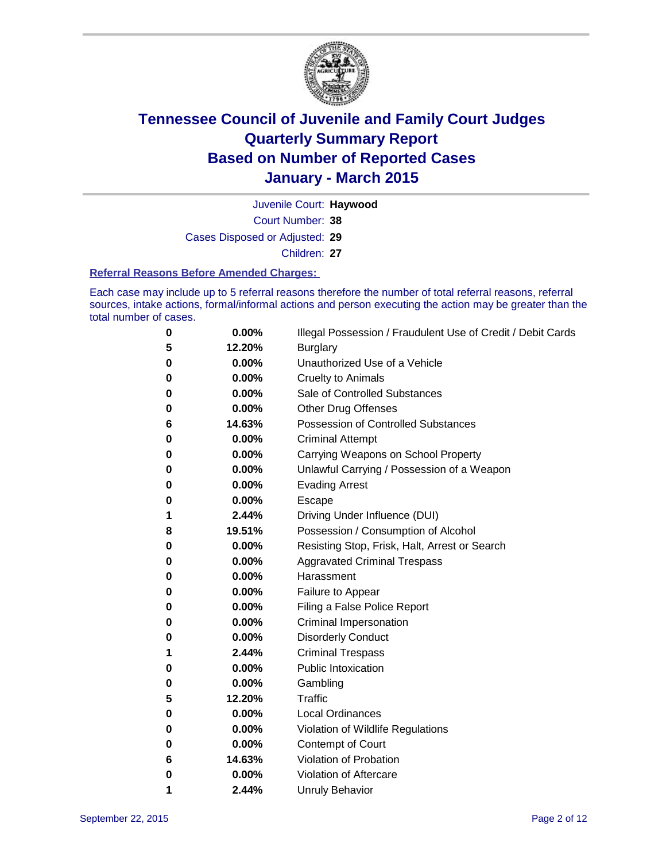

Court Number: **38** Juvenile Court: **Haywood** Cases Disposed or Adjusted: **29** Children: **27**

#### **Referral Reasons Before Amended Charges:**

Each case may include up to 5 referral reasons therefore the number of total referral reasons, referral sources, intake actions, formal/informal actions and person executing the action may be greater than the total number of cases.

| 0 | 0.00%  | Illegal Possession / Fraudulent Use of Credit / Debit Cards |
|---|--------|-------------------------------------------------------------|
| 5 | 12.20% | <b>Burglary</b>                                             |
| 0 | 0.00%  | Unauthorized Use of a Vehicle                               |
| 0 | 0.00%  | <b>Cruelty to Animals</b>                                   |
| 0 | 0.00%  | Sale of Controlled Substances                               |
| 0 | 0.00%  | <b>Other Drug Offenses</b>                                  |
| 6 | 14.63% | <b>Possession of Controlled Substances</b>                  |
| 0 | 0.00%  | <b>Criminal Attempt</b>                                     |
| 0 | 0.00%  | Carrying Weapons on School Property                         |
| 0 | 0.00%  | Unlawful Carrying / Possession of a Weapon                  |
| 0 | 0.00%  | <b>Evading Arrest</b>                                       |
| 0 | 0.00%  | Escape                                                      |
| 1 | 2.44%  | Driving Under Influence (DUI)                               |
| 8 | 19.51% | Possession / Consumption of Alcohol                         |
| 0 | 0.00%  | Resisting Stop, Frisk, Halt, Arrest or Search               |
| 0 | 0.00%  | <b>Aggravated Criminal Trespass</b>                         |
| 0 | 0.00%  | Harassment                                                  |
| 0 | 0.00%  | Failure to Appear                                           |
| 0 | 0.00%  | Filing a False Police Report                                |
| 0 | 0.00%  | Criminal Impersonation                                      |
| 0 | 0.00%  | <b>Disorderly Conduct</b>                                   |
| 1 | 2.44%  | <b>Criminal Trespass</b>                                    |
| 0 | 0.00%  | <b>Public Intoxication</b>                                  |
| 0 | 0.00%  | Gambling                                                    |
| 5 | 12.20% | Traffic                                                     |
| 0 | 0.00%  | <b>Local Ordinances</b>                                     |
| 0 | 0.00%  | Violation of Wildlife Regulations                           |
| 0 | 0.00%  | Contempt of Court                                           |
| 6 | 14.63% | Violation of Probation                                      |
| 0 | 0.00%  | Violation of Aftercare                                      |
| 1 | 2.44%  | <b>Unruly Behavior</b>                                      |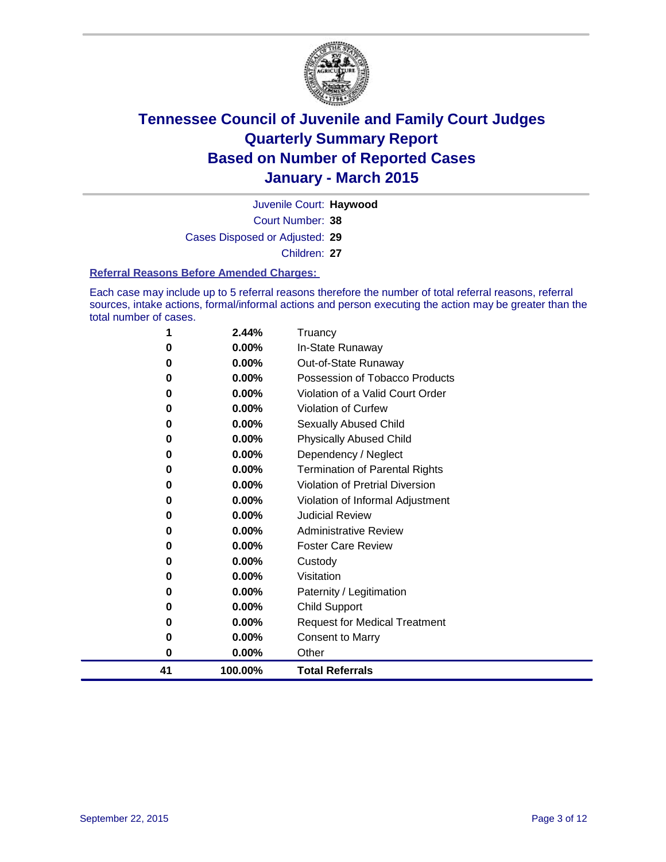

Court Number: **38** Juvenile Court: **Haywood** Cases Disposed or Adjusted: **29** Children: **27**

#### **Referral Reasons Before Amended Charges:**

Each case may include up to 5 referral reasons therefore the number of total referral reasons, referral sources, intake actions, formal/informal actions and person executing the action may be greater than the total number of cases.

| 1  | 2.44%    | Truancy                                |
|----|----------|----------------------------------------|
| 0  | 0.00%    | In-State Runaway                       |
| 0  | 0.00%    | Out-of-State Runaway                   |
| 0  | 0.00%    | Possession of Tobacco Products         |
| 0  | $0.00\%$ | Violation of a Valid Court Order       |
| 0  | 0.00%    | <b>Violation of Curfew</b>             |
| 0  | 0.00%    | Sexually Abused Child                  |
| 0  | 0.00%    | <b>Physically Abused Child</b>         |
| 0  | 0.00%    | Dependency / Neglect                   |
| 0  | 0.00%    | <b>Termination of Parental Rights</b>  |
| 0  | 0.00%    | <b>Violation of Pretrial Diversion</b> |
| 0  | $0.00\%$ | Violation of Informal Adjustment       |
| 0  | 0.00%    | <b>Judicial Review</b>                 |
| 0  | $0.00\%$ | <b>Administrative Review</b>           |
| 0  | 0.00%    | <b>Foster Care Review</b>              |
| 0  | 0.00%    | Custody                                |
| 0  | $0.00\%$ | Visitation                             |
| 0  | 0.00%    | Paternity / Legitimation               |
| 0  | 0.00%    | Child Support                          |
| 0  | 0.00%    | <b>Request for Medical Treatment</b>   |
| 0  | 0.00%    | <b>Consent to Marry</b>                |
| 0  | 0.00%    | Other                                  |
| 41 | 100.00%  | <b>Total Referrals</b>                 |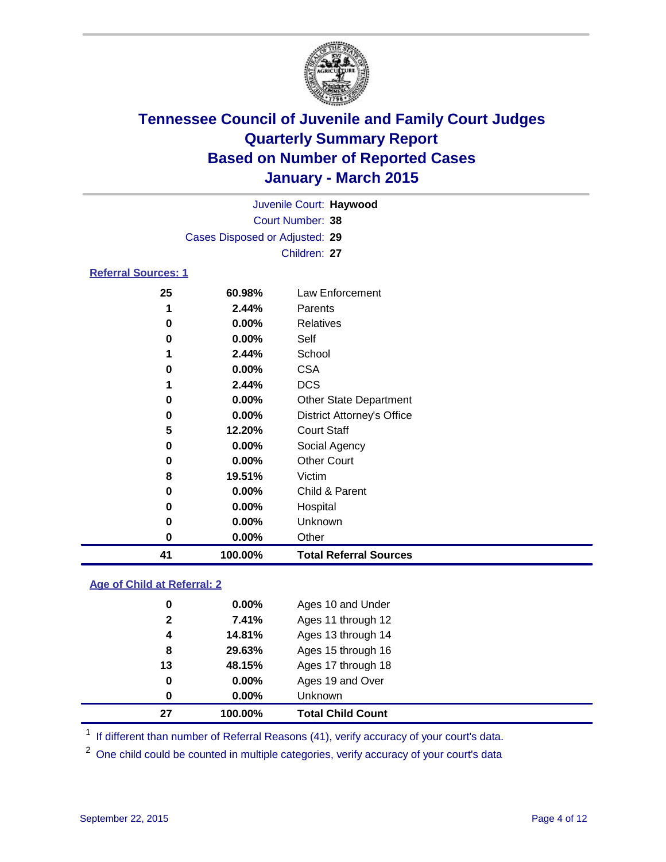

|                            | Juvenile Court: Haywood        |                 |
|----------------------------|--------------------------------|-----------------|
|                            | Court Number: 38               |                 |
|                            | Cases Disposed or Adjusted: 29 |                 |
|                            | Children: 27                   |                 |
| <b>Referral Sources: 1</b> |                                |                 |
| 25                         | 60.98%                         | Law Enforcement |

| 41 | 100.00%  | <b>Total Referral Sources</b>     |
|----|----------|-----------------------------------|
| 0  | 0.00%    | Other                             |
| 0  | $0.00\%$ | Unknown                           |
| 0  | 0.00%    | Hospital                          |
| 0  | 0.00%    | Child & Parent                    |
| 8  | 19.51%   | Victim                            |
| 0  | $0.00\%$ | <b>Other Court</b>                |
| 0  | 0.00%    | Social Agency                     |
| 5  | 12.20%   | <b>Court Staff</b>                |
| 0  | 0.00%    | <b>District Attorney's Office</b> |
| 0  | 0.00%    | <b>Other State Department</b>     |
|    | 2.44%    | <b>DCS</b>                        |
| 0  | 0.00%    | <b>CSA</b>                        |
|    | 2.44%    | School                            |
| 0  | 0.00%    | Self                              |
| 0  | 0.00%    | <b>Relatives</b>                  |
|    | 2.44%    | Parents                           |
| ∼  | VV.JU /0 | LAW LINVICTIIGH                   |

### **Age of Child at Referral: 2**

| 27           | 100.00%  | <b>Total Child Count</b> |
|--------------|----------|--------------------------|
| 0            | 0.00%    | <b>Unknown</b>           |
| 0            | $0.00\%$ | Ages 19 and Over         |
| 13           | 48.15%   | Ages 17 through 18       |
| 8            | 29.63%   | Ages 15 through 16       |
| 4            | 14.81%   | Ages 13 through 14       |
| $\mathbf{2}$ | 7.41%    | Ages 11 through 12       |
| 0            | $0.00\%$ | Ages 10 and Under        |
|              |          |                          |

<sup>1</sup> If different than number of Referral Reasons (41), verify accuracy of your court's data.

One child could be counted in multiple categories, verify accuracy of your court's data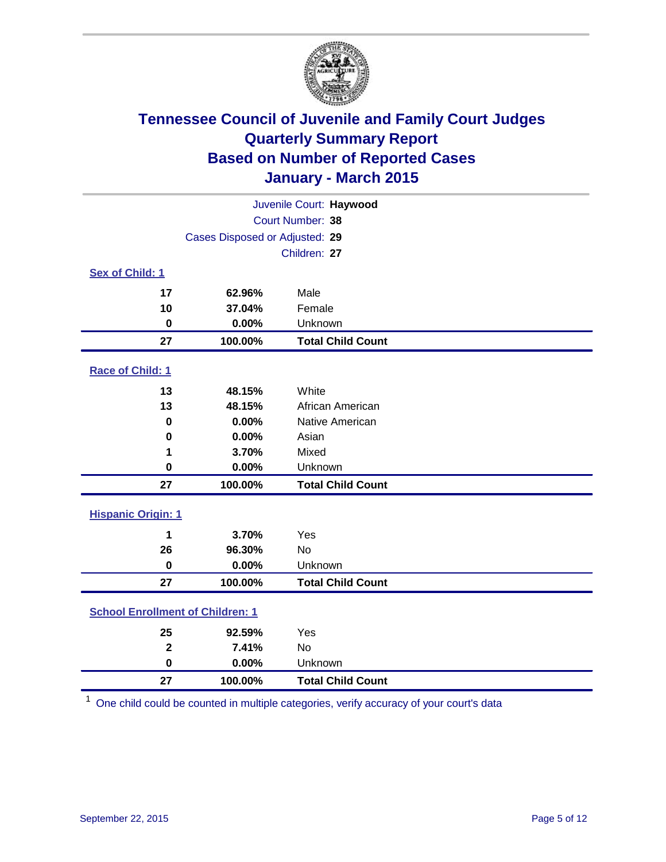

| Juvenile Court: Haywood                 |                                |                          |  |  |
|-----------------------------------------|--------------------------------|--------------------------|--|--|
|                                         | Court Number: 38               |                          |  |  |
|                                         | Cases Disposed or Adjusted: 29 |                          |  |  |
|                                         |                                | Children: 27             |  |  |
| <b>Sex of Child: 1</b>                  |                                |                          |  |  |
| 17                                      | 62.96%                         | Male                     |  |  |
| 10                                      | 37.04%                         | Female                   |  |  |
| 0                                       | 0.00%                          | Unknown                  |  |  |
| 27                                      | 100.00%                        | <b>Total Child Count</b> |  |  |
| Race of Child: 1                        |                                |                          |  |  |
| 13                                      | 48.15%                         | White                    |  |  |
| 13                                      | 48.15%                         | African American         |  |  |
| $\mathbf 0$                             | 0.00%                          | Native American          |  |  |
| 0                                       | 0.00%                          | Asian                    |  |  |
| 1                                       | 3.70%                          | Mixed                    |  |  |
| $\mathbf 0$                             | 0.00%                          | Unknown                  |  |  |
| 27                                      | 100.00%                        | <b>Total Child Count</b> |  |  |
| <b>Hispanic Origin: 1</b>               |                                |                          |  |  |
| 1                                       | 3.70%                          | Yes                      |  |  |
| 26                                      | 96.30%                         | <b>No</b>                |  |  |
| $\mathbf 0$                             | 0.00%                          | Unknown                  |  |  |
| 27                                      | 100.00%                        | <b>Total Child Count</b> |  |  |
| <b>School Enrollment of Children: 1</b> |                                |                          |  |  |
| 25                                      | 92.59%                         | Yes                      |  |  |
| $\overline{2}$                          | 7.41%                          | <b>No</b>                |  |  |
| $\bf{0}$                                | 0.00%                          | Unknown                  |  |  |
| 27                                      | 100.00%                        | <b>Total Child Count</b> |  |  |

One child could be counted in multiple categories, verify accuracy of your court's data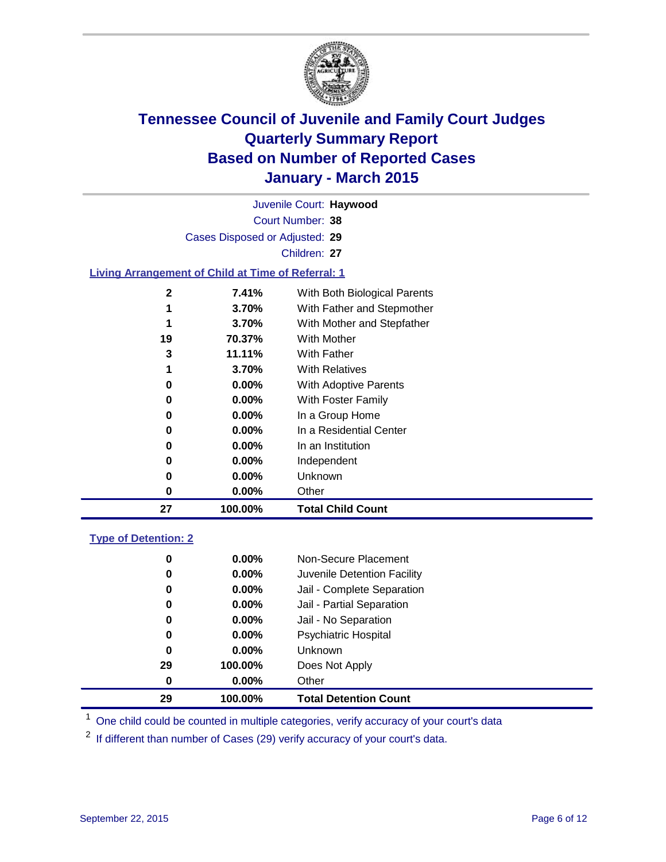

| Juvenile Court: Haywood                                   |              |                              |  |  |  |  |
|-----------------------------------------------------------|--------------|------------------------------|--|--|--|--|
| Court Number: 38                                          |              |                              |  |  |  |  |
| Cases Disposed or Adjusted: 29                            |              |                              |  |  |  |  |
|                                                           | Children: 27 |                              |  |  |  |  |
| <b>Living Arrangement of Child at Time of Referral: 1</b> |              |                              |  |  |  |  |
|                                                           |              |                              |  |  |  |  |
| $\mathbf{2}$                                              | 7.41%        | With Both Biological Parents |  |  |  |  |
| 1                                                         | 3.70%        | With Father and Stepmother   |  |  |  |  |
| 1                                                         | 3.70%        | With Mother and Stepfather   |  |  |  |  |
| 19                                                        | 70.37%       | With Mother                  |  |  |  |  |
| 3                                                         | 11.11%       | <b>With Father</b>           |  |  |  |  |
| 1                                                         | 3.70%        | <b>With Relatives</b>        |  |  |  |  |
| 0                                                         | $0.00\%$     | <b>With Adoptive Parents</b> |  |  |  |  |
| 0                                                         | $0.00\%$     | With Foster Family           |  |  |  |  |
| 0                                                         | $0.00\%$     | In a Group Home              |  |  |  |  |
| 0                                                         | $0.00\%$     | In a Residential Center      |  |  |  |  |
| 0                                                         | 0.00%        | In an Institution            |  |  |  |  |
| 0                                                         | $0.00\%$     | Independent                  |  |  |  |  |
| 0                                                         | $0.00\%$     | Unknown                      |  |  |  |  |
| 0                                                         | $0.00\%$     | Other                        |  |  |  |  |
| 27                                                        | 100.00%      | <b>Total Child Count</b>     |  |  |  |  |
|                                                           |              |                              |  |  |  |  |

### **Type of Detention: 2**

| 0  | $0.00\%$ | Non-Secure Placement         |
|----|----------|------------------------------|
| 0  | 0.00%    | Juvenile Detention Facility  |
| 0  | 0.00%    | Jail - Complete Separation   |
| 0  | 0.00%    | Jail - Partial Separation    |
| 0  | $0.00\%$ | Jail - No Separation         |
| 0  | $0.00\%$ | <b>Psychiatric Hospital</b>  |
| 0  | $0.00\%$ | <b>Unknown</b>               |
| 29 | 100.00%  | Does Not Apply               |
| 0  | $0.00\%$ | Other                        |
| 29 | 100.00%  | <b>Total Detention Count</b> |

<sup>1</sup> One child could be counted in multiple categories, verify accuracy of your court's data

If different than number of Cases (29) verify accuracy of your court's data.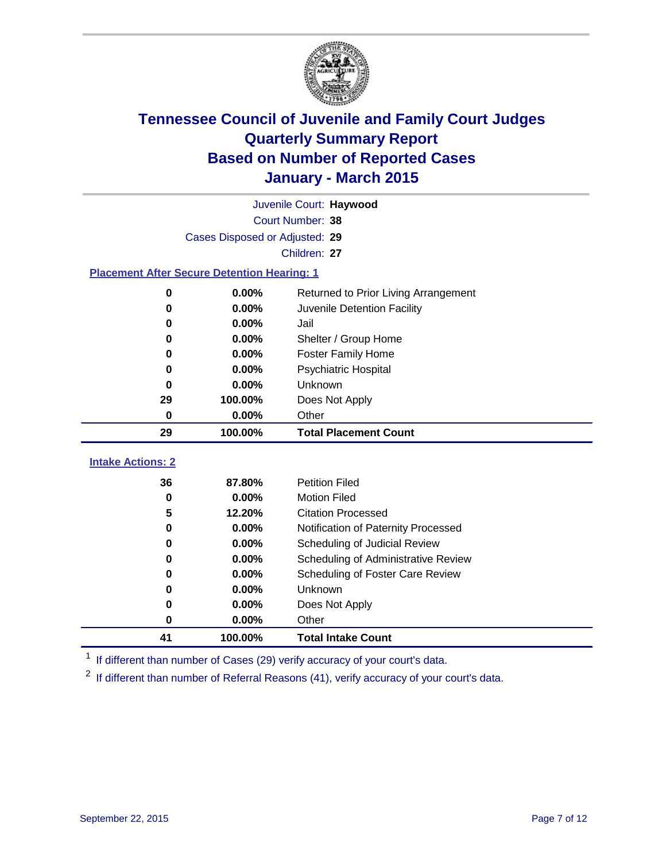

|                                                    | Juvenile Court: Haywood        |                                      |  |  |  |
|----------------------------------------------------|--------------------------------|--------------------------------------|--|--|--|
|                                                    | Court Number: 38               |                                      |  |  |  |
|                                                    | Cases Disposed or Adjusted: 29 |                                      |  |  |  |
| Children: 27                                       |                                |                                      |  |  |  |
| <b>Placement After Secure Detention Hearing: 1</b> |                                |                                      |  |  |  |
| $\bf{0}$                                           | 0.00%                          | Returned to Prior Living Arrangement |  |  |  |
| 0                                                  | 0.00%                          | Juvenile Detention Facility          |  |  |  |
| 0                                                  | 0.00%                          | Jail                                 |  |  |  |
| 0                                                  | 0.00%                          | Shelter / Group Home                 |  |  |  |
| 0                                                  | 0.00%                          | <b>Foster Family Home</b>            |  |  |  |
| 0                                                  | 0.00%                          | <b>Psychiatric Hospital</b>          |  |  |  |
| 0                                                  | 0.00%                          | Unknown                              |  |  |  |
| 29                                                 | 100.00%                        | Does Not Apply                       |  |  |  |
| 0                                                  | 0.00%                          | Other                                |  |  |  |
| 29                                                 | 100.00%                        | <b>Total Placement Count</b>         |  |  |  |
| <b>Intake Actions: 2</b>                           |                                |                                      |  |  |  |
| 36                                                 | 87.80%                         | <b>Petition Filed</b>                |  |  |  |
| 0                                                  | 0.00%                          | <b>Motion Filed</b>                  |  |  |  |
| 5                                                  | 12.20%                         | <b>Citation Processed</b>            |  |  |  |
| 0                                                  | 0.00%                          | Notification of Paternity Processed  |  |  |  |
| 0                                                  | 0.00%                          | Scheduling of Judicial Review        |  |  |  |
| $\bf{0}$                                           | 0.00%                          | Scheduling of Administrative Review  |  |  |  |
| 0                                                  | 0.00%                          | Scheduling of Foster Care Review     |  |  |  |
| 0                                                  | 0.00%                          | Unknown                              |  |  |  |
| 0                                                  | 0.00%                          | Does Not Apply                       |  |  |  |
| 0                                                  | 0.00%                          | Other                                |  |  |  |
| 41                                                 | 100.00%                        | <b>Total Intake Count</b>            |  |  |  |

<sup>1</sup> If different than number of Cases (29) verify accuracy of your court's data.

If different than number of Referral Reasons (41), verify accuracy of your court's data.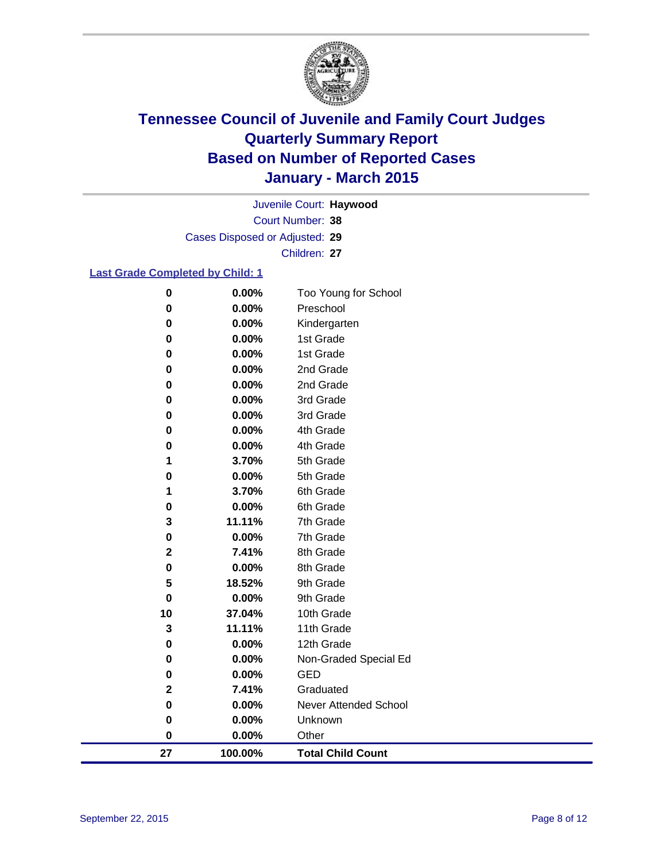

Court Number: **38** Juvenile Court: **Haywood** Cases Disposed or Adjusted: **29** Children: **27**

### **Last Grade Completed by Child: 1**

| 27                    | 100.00%        | <b>Total Child Count</b>     |
|-----------------------|----------------|------------------------------|
| 0                     | 0.00%          | Other                        |
| 0                     | 0.00%          | Unknown                      |
| $\pmb{0}$             | 0.00%          | <b>Never Attended School</b> |
| $\mathbf 2$           | 7.41%          | Graduated                    |
| 0                     | 0.00%          | <b>GED</b>                   |
| 0                     | 0.00%          | Non-Graded Special Ed        |
| $\pmb{0}$             | 0.00%          | 12th Grade                   |
| 3                     | 11.11%         | 11th Grade                   |
| 10                    | 37.04%         | 10th Grade                   |
| 0                     | 0.00%          | 9th Grade                    |
| 5                     | 18.52%         | 9th Grade                    |
| 0                     | 0.00%          | 8th Grade                    |
| $\mathbf 2$           | 7.41%          | 8th Grade                    |
| 0                     | 0.00%          | 7th Grade                    |
| 3                     | 11.11%         | 7th Grade                    |
| 0                     | 0.00%          | 6th Grade                    |
| 1                     | 3.70%          | 6th Grade                    |
| 0                     | 0.00%          | 5th Grade                    |
| 1                     | 3.70%          | 5th Grade                    |
| 0                     | 0.00%          | 4th Grade                    |
| 0                     | 0.00%          | 4th Grade                    |
| $\bf{0}$<br>$\pmb{0}$ | 0.00%<br>0.00% | 3rd Grade<br>3rd Grade       |
| $\bf{0}$              | $0.00\%$       | 2nd Grade                    |
| 0                     | 0.00%          | 2nd Grade                    |
| 0                     | 0.00%          | 1st Grade                    |
| $\pmb{0}$             | 0.00%          | 1st Grade                    |
| $\bf{0}$              | 0.00%          | Kindergarten                 |
| 0                     | 0.00%          | Preschool                    |
| $\pmb{0}$             | 0.00%          | Too Young for School         |
|                       |                |                              |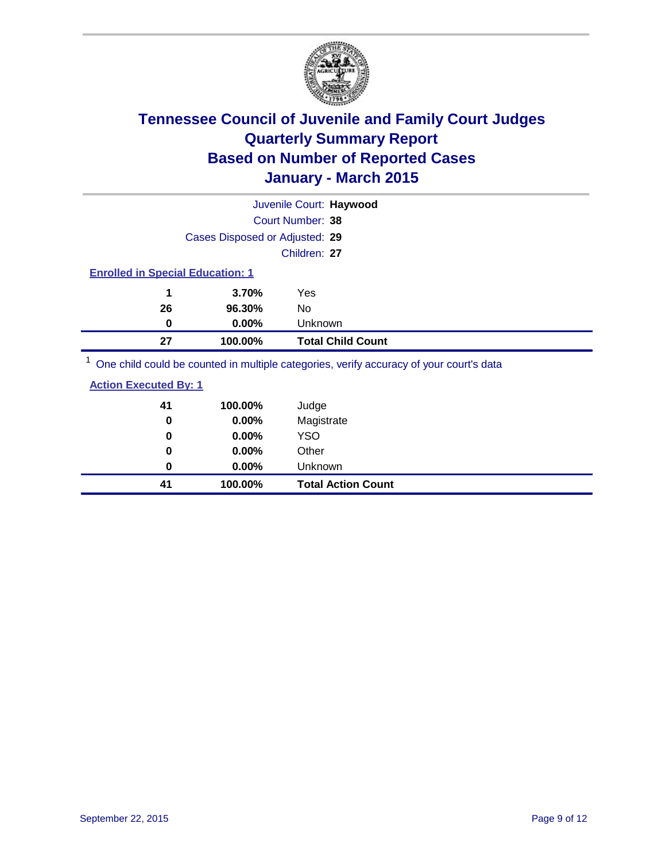

|    |                                         | Juvenile Court: Haywood                                                                |  |  |  |
|----|-----------------------------------------|----------------------------------------------------------------------------------------|--|--|--|
|    |                                         | Court Number: 38                                                                       |  |  |  |
|    | Cases Disposed or Adjusted: 29          |                                                                                        |  |  |  |
|    |                                         | Children: 27                                                                           |  |  |  |
|    | <b>Enrolled in Special Education: 1</b> |                                                                                        |  |  |  |
| 1  | 3.70%                                   | Yes                                                                                    |  |  |  |
| 26 | 96.30%                                  | No                                                                                     |  |  |  |
| 0  | 0.00%                                   | Unknown                                                                                |  |  |  |
| 27 | 100.00%                                 | <b>Total Child Count</b>                                                               |  |  |  |
|    |                                         | One objet could be counted in multiple estegation verify accuracy of your courtie data |  |  |  |

<sup>1</sup> One child could be counted in multiple categories, verify accuracy of your court's data

| <b>Action Executed By: 1</b> |
|------------------------------|
|------------------------------|

| 0  | 0.00%    | Unknown                   |
|----|----------|---------------------------|
| 41 | 100.00%  | <b>Total Action Count</b> |
| 0  | $0.00\%$ | <b>YSO</b>                |
| 0  | 0.00%    | Other                     |
| 41 | 100.00%  | Judge                     |
| 0  | 0.00%    | Magistrate                |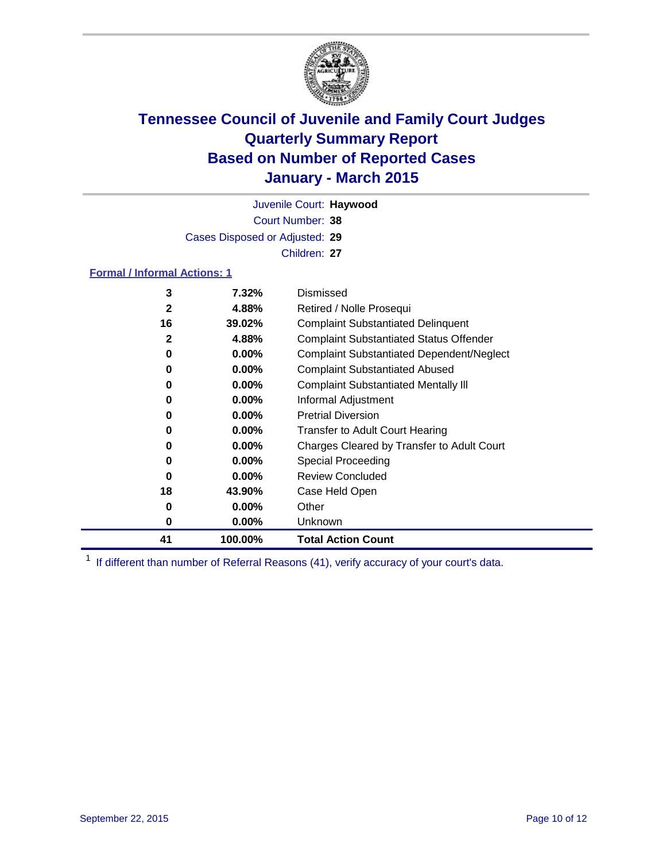

Court Number: **38** Juvenile Court: **Haywood** Cases Disposed or Adjusted: **29** Children: **27**

### **Formal / Informal Actions: 1**

| 3            | 7.32%    | Dismissed                                        |
|--------------|----------|--------------------------------------------------|
| $\mathbf{2}$ | 4.88%    | Retired / Nolle Prosequi                         |
| 16           | 39.02%   | <b>Complaint Substantiated Delinquent</b>        |
| $\mathbf{2}$ | 4.88%    | <b>Complaint Substantiated Status Offender</b>   |
| 0            | $0.00\%$ | <b>Complaint Substantiated Dependent/Neglect</b> |
| 0            | 0.00%    | <b>Complaint Substantiated Abused</b>            |
| 0            | $0.00\%$ | <b>Complaint Substantiated Mentally III</b>      |
| 0            | $0.00\%$ | Informal Adjustment                              |
| 0            | $0.00\%$ | <b>Pretrial Diversion</b>                        |
| 0            | $0.00\%$ | <b>Transfer to Adult Court Hearing</b>           |
| 0            | $0.00\%$ | Charges Cleared by Transfer to Adult Court       |
| 0            | $0.00\%$ | Special Proceeding                               |
| 0            | $0.00\%$ | <b>Review Concluded</b>                          |
| 18           | 43.90%   | Case Held Open                                   |
| 0            | $0.00\%$ | Other                                            |
| 0            | $0.00\%$ | Unknown                                          |
| 41           | 100.00%  | <b>Total Action Count</b>                        |

<sup>1</sup> If different than number of Referral Reasons (41), verify accuracy of your court's data.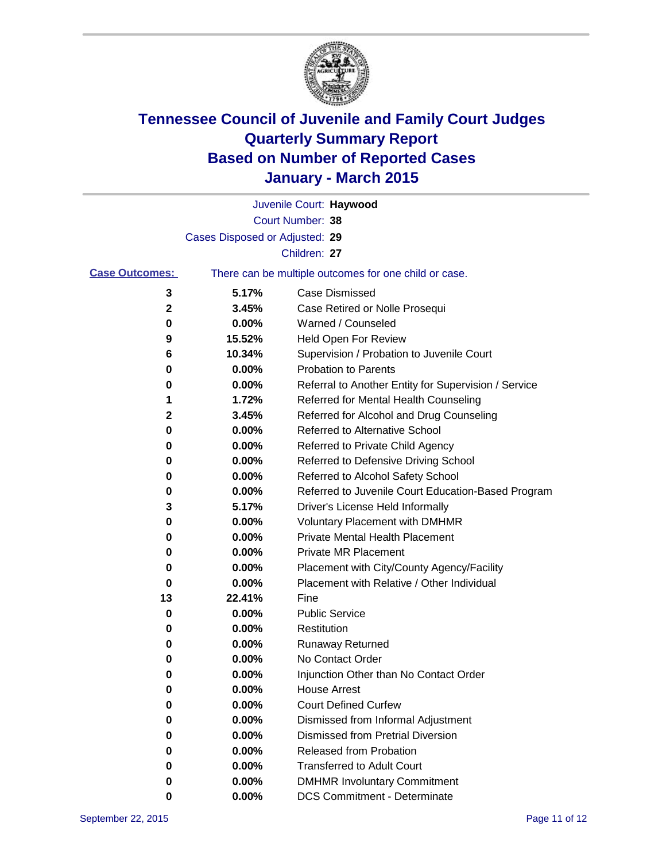

|                       |                                | Juvenile Court: Haywood                               |
|-----------------------|--------------------------------|-------------------------------------------------------|
|                       |                                | Court Number: 38                                      |
|                       | Cases Disposed or Adjusted: 29 |                                                       |
|                       |                                | Children: 27                                          |
| <b>Case Outcomes:</b> |                                | There can be multiple outcomes for one child or case. |
| 3                     | 5.17%                          | <b>Case Dismissed</b>                                 |
| 2                     | 3.45%                          | Case Retired or Nolle Prosequi                        |
| 0                     | 0.00%                          | Warned / Counseled                                    |
| 9                     | 15.52%                         | <b>Held Open For Review</b>                           |
| 6                     | 10.34%                         | Supervision / Probation to Juvenile Court             |
| 0                     | 0.00%                          | <b>Probation to Parents</b>                           |
| 0                     | 0.00%                          | Referral to Another Entity for Supervision / Service  |
| 1                     | 1.72%                          | Referred for Mental Health Counseling                 |
| 2                     | 3.45%                          | Referred for Alcohol and Drug Counseling              |
| 0                     | 0.00%                          | <b>Referred to Alternative School</b>                 |
| 0                     | 0.00%                          | Referred to Private Child Agency                      |
| 0                     | 0.00%                          | Referred to Defensive Driving School                  |
| 0                     | 0.00%                          | Referred to Alcohol Safety School                     |
| 0                     | 0.00%                          | Referred to Juvenile Court Education-Based Program    |
| 3                     | 5.17%                          | Driver's License Held Informally                      |
| 0                     | 0.00%                          | <b>Voluntary Placement with DMHMR</b>                 |
| 0                     | 0.00%                          | <b>Private Mental Health Placement</b>                |
| 0                     | 0.00%                          | Private MR Placement                                  |
| 0                     | 0.00%                          | Placement with City/County Agency/Facility            |
| 0                     | 0.00%                          | Placement with Relative / Other Individual            |
| 13                    | 22.41%                         | Fine                                                  |
| 0                     | 0.00%                          | <b>Public Service</b>                                 |
| 0                     | 0.00%                          | Restitution                                           |
| 0                     | 0.00%                          | <b>Runaway Returned</b>                               |
| 0                     | 0.00%                          | No Contact Order                                      |
| 0                     | 0.00%                          | Injunction Other than No Contact Order                |
| 0                     | $0.00\%$                       | <b>House Arrest</b>                                   |
| 0                     | 0.00%                          | <b>Court Defined Curfew</b>                           |
| 0                     | 0.00%                          | Dismissed from Informal Adjustment                    |
| 0                     | 0.00%                          | <b>Dismissed from Pretrial Diversion</b>              |
| 0                     | 0.00%                          | Released from Probation                               |
| 0                     | 0.00%                          | <b>Transferred to Adult Court</b>                     |
| 0                     | 0.00%                          | <b>DMHMR Involuntary Commitment</b>                   |
| 0                     | 0.00%                          | <b>DCS Commitment - Determinate</b>                   |